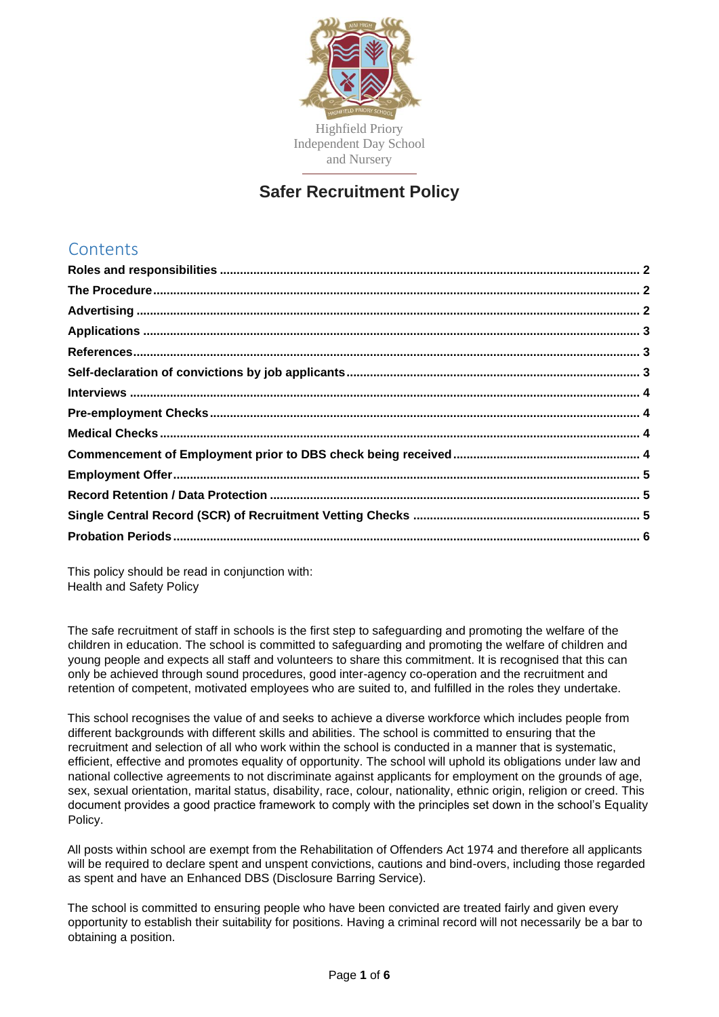

# **Safer Recruitment Policy**

# **Contents**

This policy should be read in conjunction with: Health and Safety Policy

The safe recruitment of staff in schools is the first step to safeguarding and promoting the welfare of the children in education. The school is committed to safeguarding and promoting the welfare of children and young people and expects all staff and volunteers to share this commitment. It is recognised that this can only be achieved through sound procedures, good inter-agency co-operation and the recruitment and retention of competent, motivated employees who are suited to, and fulfilled in the roles they undertake.

This school recognises the value of and seeks to achieve a diverse workforce which includes people from different backgrounds with different skills and abilities. The school is committed to ensuring that the recruitment and selection of all who work within the school is conducted in a manner that is systematic, efficient, effective and promotes equality of opportunity. The school will uphold its obligations under law and national collective agreements to not discriminate against applicants for employment on the grounds of age, sex, sexual orientation, marital status, disability, race, colour, nationality, ethnic origin, religion or creed. This document provides a good practice framework to comply with the principles set down in the school's Equality Policy.

All posts within school are exempt from the Rehabilitation of Offenders Act 1974 and therefore all applicants will be required to declare spent and unspent convictions, cautions and bind-overs, including those regarded as spent and have an Enhanced DBS (Disclosure Barring Service).

The school is committed to ensuring people who have been convicted are treated fairly and given every opportunity to establish their suitability for positions. Having a criminal record will not necessarily be a bar to obtaining a position.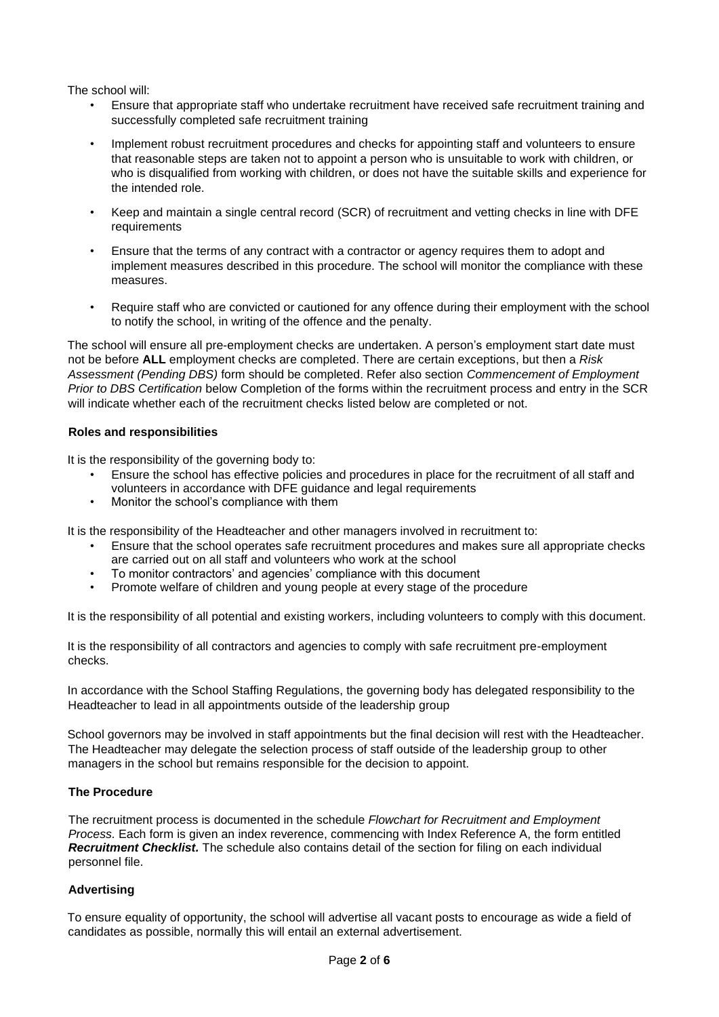The school will:

- Ensure that appropriate staff who undertake recruitment have received safe recruitment training and successfully completed safe recruitment training
- Implement robust recruitment procedures and checks for appointing staff and volunteers to ensure that reasonable steps are taken not to appoint a person who is unsuitable to work with children, or who is disqualified from working with children, or does not have the suitable skills and experience for the intended role.
- Keep and maintain a single central record (SCR) of recruitment and vetting checks in line with DFE requirements
- Ensure that the terms of any contract with a contractor or agency requires them to adopt and implement measures described in this procedure. The school will monitor the compliance with these measures.
- Require staff who are convicted or cautioned for any offence during their employment with the school to notify the school, in writing of the offence and the penalty.

The school will ensure all pre-employment checks are undertaken. A person's employment start date must not be before **ALL** employment checks are completed. There are certain exceptions, but then a *Risk Assessment (Pending DBS)* form should be completed. Refer also section *Commencement of Employment Prior to DBS Certification* below Completion of the forms within the recruitment process and entry in the SCR will indicate whether each of the recruitment checks listed below are completed or not.

#### <span id="page-1-0"></span>**Roles and responsibilities**

It is the responsibility of the governing body to:

- Ensure the school has effective policies and procedures in place for the recruitment of all staff and volunteers in accordance with DFE guidance and legal requirements
- Monitor the school's compliance with them

It is the responsibility of the Headteacher and other managers involved in recruitment to:

- Ensure that the school operates safe recruitment procedures and makes sure all appropriate checks are carried out on all staff and volunteers who work at the school
- To monitor contractors' and agencies' compliance with this document
- Promote welfare of children and young people at every stage of the procedure

It is the responsibility of all potential and existing workers, including volunteers to comply with this document.

It is the responsibility of all contractors and agencies to comply with safe recruitment pre-employment checks.

In accordance with the School Staffing Regulations, the governing body has delegated responsibility to the Headteacher to lead in all appointments outside of the leadership group

School governors may be involved in staff appointments but the final decision will rest with the Headteacher. The Headteacher may delegate the selection process of staff outside of the leadership group to other managers in the school but remains responsible for the decision to appoint.

## <span id="page-1-1"></span>**The Procedure**

The recruitment process is documented in the schedule *Flowchart for Recruitment and Employment Process.* Each form is given an index reverence, commencing with Index Reference A, the form entitled *Recruitment Checklist.* The schedule also contains detail of the section for filing on each individual personnel file.

## <span id="page-1-2"></span>**Advertising**

To ensure equality of opportunity, the school will advertise all vacant posts to encourage as wide a field of candidates as possible, normally this will entail an external advertisement.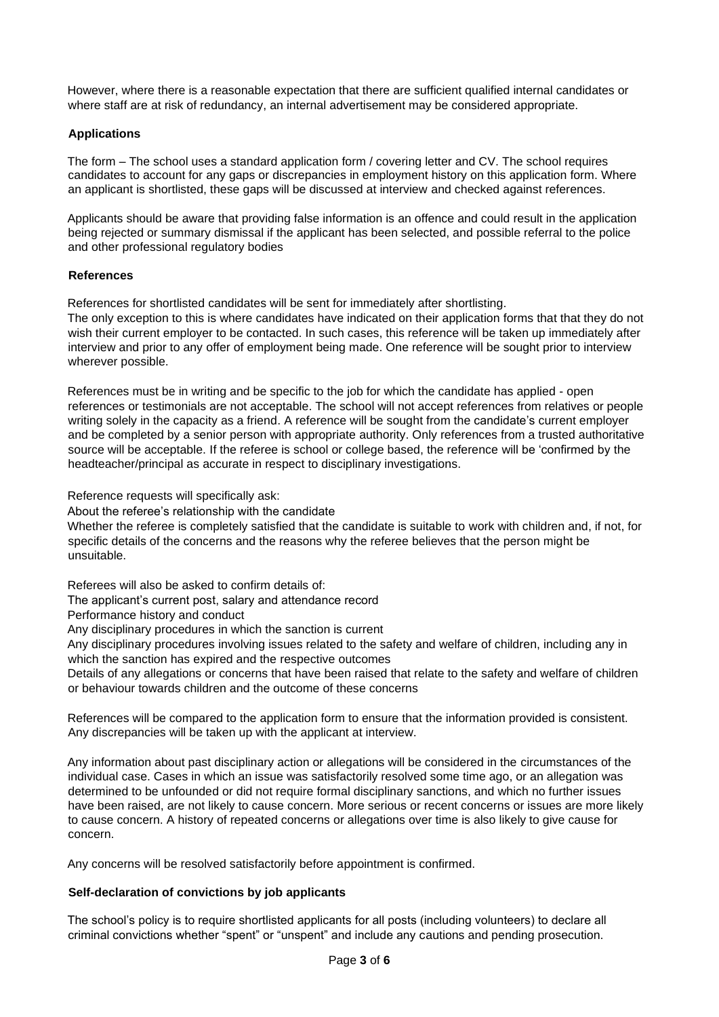However, where there is a reasonable expectation that there are sufficient qualified internal candidates or where staff are at risk of redundancy, an internal advertisement may be considered appropriate.

# <span id="page-2-0"></span>**Applications**

The form – The school uses a standard application form / covering letter and CV. The school requires candidates to account for any gaps or discrepancies in employment history on this application form. Where an applicant is shortlisted, these gaps will be discussed at interview and checked against references.

Applicants should be aware that providing false information is an offence and could result in the application being rejected or summary dismissal if the applicant has been selected, and possible referral to the police and other professional regulatory bodies

## <span id="page-2-1"></span>**References**

References for shortlisted candidates will be sent for immediately after shortlisting.

The only exception to this is where candidates have indicated on their application forms that that they do not wish their current employer to be contacted. In such cases, this reference will be taken up immediately after interview and prior to any offer of employment being made. One reference will be sought prior to interview wherever possible.

References must be in writing and be specific to the job for which the candidate has applied - open references or testimonials are not acceptable. The school will not accept references from relatives or people writing solely in the capacity as a friend. A reference will be sought from the candidate's current employer and be completed by a senior person with appropriate authority. Only references from a trusted authoritative source will be acceptable. If the referee is school or college based, the reference will be 'confirmed by the headteacher/principal as accurate in respect to disciplinary investigations.

Reference requests will specifically ask:

About the referee's relationship with the candidate

Whether the referee is completely satisfied that the candidate is suitable to work with children and, if not, for specific details of the concerns and the reasons why the referee believes that the person might be unsuitable.

Referees will also be asked to confirm details of:

The applicant's current post, salary and attendance record

Performance history and conduct

Any disciplinary procedures in which the sanction is current

Any disciplinary procedures involving issues related to the safety and welfare of children, including any in which the sanction has expired and the respective outcomes

Details of any allegations or concerns that have been raised that relate to the safety and welfare of children or behaviour towards children and the outcome of these concerns

References will be compared to the application form to ensure that the information provided is consistent. Any discrepancies will be taken up with the applicant at interview.

Any information about past disciplinary action or allegations will be considered in the circumstances of the individual case. Cases in which an issue was satisfactorily resolved some time ago, or an allegation was determined to be unfounded or did not require formal disciplinary sanctions, and which no further issues have been raised, are not likely to cause concern. More serious or recent concerns or issues are more likely to cause concern. A history of repeated concerns or allegations over time is also likely to give cause for concern.

Any concerns will be resolved satisfactorily before appointment is confirmed.

## <span id="page-2-2"></span>**Self-declaration of convictions by job applicants**

The school's policy is to require shortlisted applicants for all posts (including volunteers) to declare all criminal convictions whether "spent" or "unspent" and include any cautions and pending prosecution.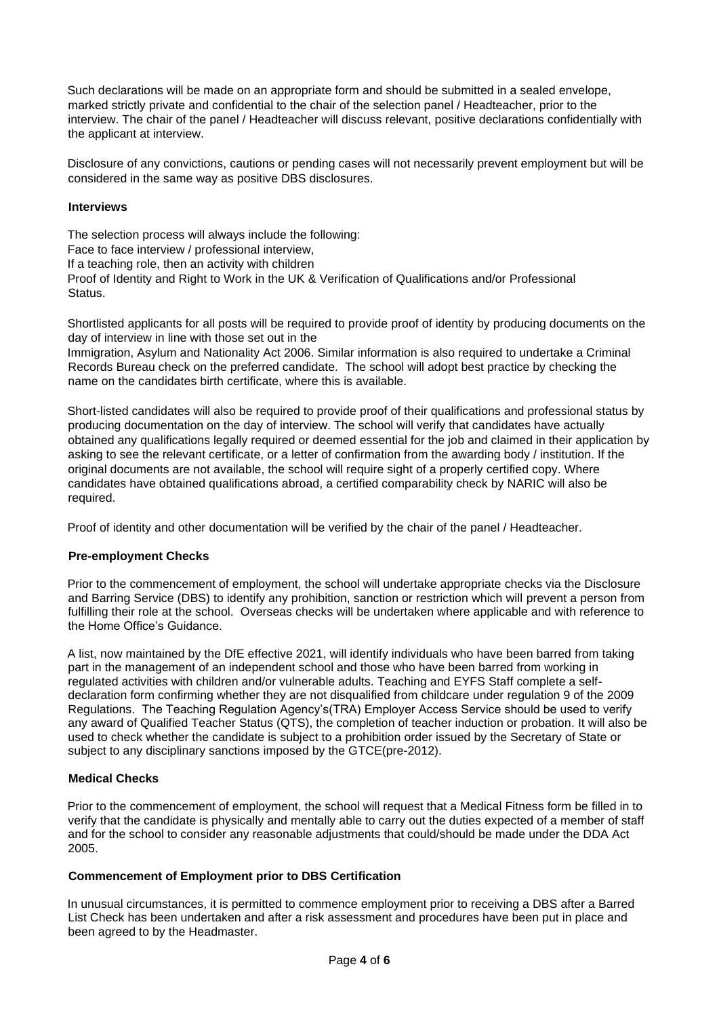Such declarations will be made on an appropriate form and should be submitted in a sealed envelope, marked strictly private and confidential to the chair of the selection panel / Headteacher, prior to the interview. The chair of the panel / Headteacher will discuss relevant, positive declarations confidentially with the applicant at interview.

Disclosure of any convictions, cautions or pending cases will not necessarily prevent employment but will be considered in the same way as positive DBS disclosures.

#### <span id="page-3-0"></span>**Interviews**

The selection process will always include the following: Face to face interview / professional interview, If a teaching role, then an activity with children Proof of Identity and Right to Work in the UK & Verification of Qualifications and/or Professional Status.

Shortlisted applicants for all posts will be required to provide proof of identity by producing documents on the day of interview in line with those set out in the

Immigration, Asylum and Nationality Act 2006. Similar information is also required to undertake a Criminal Records Bureau check on the preferred candidate. The school will adopt best practice by checking the name on the candidates birth certificate, where this is available.

Short-listed candidates will also be required to provide proof of their qualifications and professional status by producing documentation on the day of interview. The school will verify that candidates have actually obtained any qualifications legally required or deemed essential for the job and claimed in their application by asking to see the relevant certificate, or a letter of confirmation from the awarding body / institution. If the original documents are not available, the school will require sight of a properly certified copy. Where candidates have obtained qualifications abroad, a certified comparability check by NARIC will also be required.

Proof of identity and other documentation will be verified by the chair of the panel / Headteacher.

## <span id="page-3-1"></span>**Pre-employment Checks**

Prior to the commencement of employment, the school will undertake appropriate checks via the Disclosure and Barring Service (DBS) to identify any prohibition, sanction or restriction which will prevent a person from fulfilling their role at the school. Overseas checks will be undertaken where applicable and with reference to the Home Office's Guidance.

A list, now maintained by the DfE effective 2021, will identify individuals who have been barred from taking part in the management of an independent school and those who have been barred from working in regulated activities with children and/or vulnerable adults. Teaching and EYFS Staff complete a selfdeclaration form confirming whether they are not disqualified from childcare under regulation 9 of the 2009 Regulations. The Teaching Regulation Agency's(TRA) Employer Access Service should be used to verify any award of Qualified Teacher Status (QTS), the completion of teacher induction or probation. It will also be used to check whether the candidate is subject to a prohibition order issued by the Secretary of State or subject to any disciplinary sanctions imposed by the GTCE(pre-2012).

## <span id="page-3-2"></span>**Medical Checks**

Prior to the commencement of employment, the school will request that a Medical Fitness form be filled in to verify that the candidate is physically and mentally able to carry out the duties expected of a member of staff and for the school to consider any reasonable adjustments that could/should be made under the DDA Act 2005.

## <span id="page-3-3"></span>**Commencement of Employment prior to DBS Certification**

In unusual circumstances, it is permitted to commence employment prior to receiving a DBS after a Barred List Check has been undertaken and after a risk assessment and procedures have been put in place and been agreed to by the Headmaster.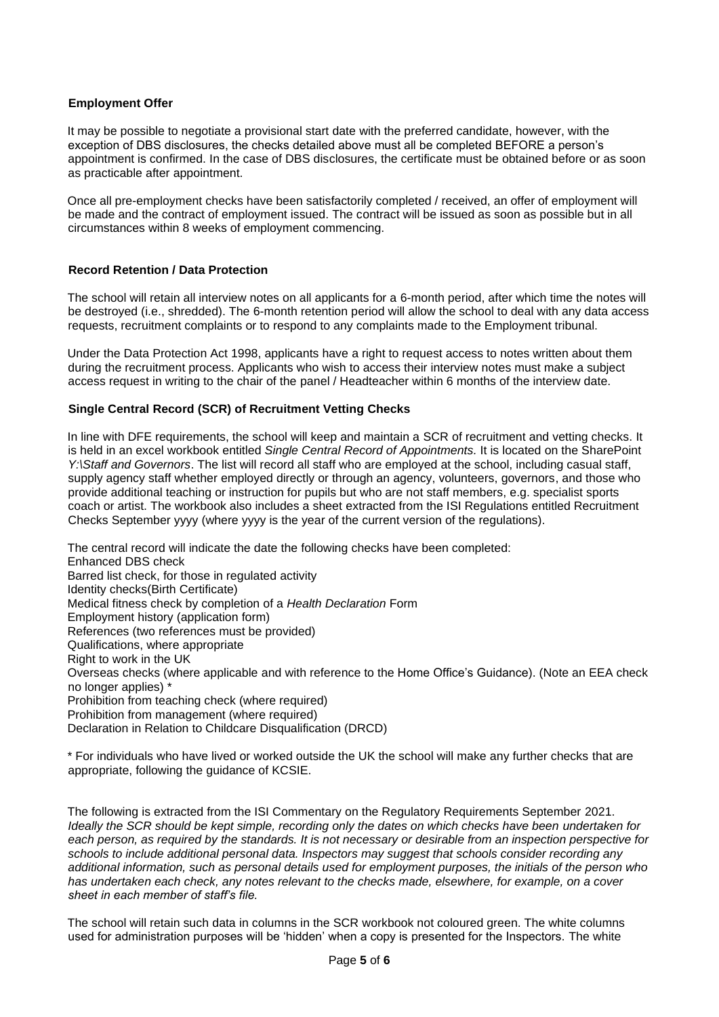## <span id="page-4-0"></span>**Employment Offer**

It may be possible to negotiate a provisional start date with the preferred candidate, however, with the exception of DBS disclosures, the checks detailed above must all be completed BEFORE a person's appointment is confirmed. In the case of DBS disclosures, the certificate must be obtained before or as soon as practicable after appointment.

Once all pre-employment checks have been satisfactorily completed / received, an offer of employment will be made and the contract of employment issued. The contract will be issued as soon as possible but in all circumstances within 8 weeks of employment commencing.

#### <span id="page-4-1"></span>**Record Retention / Data Protection**

The school will retain all interview notes on all applicants for a 6-month period, after which time the notes will be destroyed (i.e., shredded). The 6-month retention period will allow the school to deal with any data access requests, recruitment complaints or to respond to any complaints made to the Employment tribunal.

Under the Data Protection Act 1998, applicants have a right to request access to notes written about them during the recruitment process. Applicants who wish to access their interview notes must make a subject access request in writing to the chair of the panel / Headteacher within 6 months of the interview date.

#### <span id="page-4-2"></span>**Single Central Record (SCR) of Recruitment Vetting Checks**

In line with DFE requirements, the school will keep and maintain a SCR of recruitment and vetting checks. It is held in an excel workbook entitled *Single Central Record of Appointments.* It is located on the SharePoint *Y:\Staff and Governors*. The list will record all staff who are employed at the school, including casual staff, supply agency staff whether employed directly or through an agency, volunteers, governors, and those who provide additional teaching or instruction for pupils but who are not staff members, e.g. specialist sports coach or artist. The workbook also includes a sheet extracted from the ISI Regulations entitled Recruitment Checks September yyyy (where yyyy is the year of the current version of the regulations).

The central record will indicate the date the following checks have been completed: Enhanced DBS check Barred list check, for those in regulated activity Identity checks(Birth Certificate) Medical fitness check by completion of a *Health Declaration* Form Employment history (application form) References (two references must be provided) Qualifications, where appropriate Right to work in the UK Overseas checks (where applicable and with reference to the Home Office's Guidance). (Note an EEA check no longer applies) \* Prohibition from teaching check (where required) Prohibition from management (where required) Declaration in Relation to Childcare Disqualification (DRCD)

\* For individuals who have lived or worked outside the UK the school will make any further checks that are appropriate, following the guidance of KCSIE.

The following is extracted from the ISI Commentary on the Regulatory Requirements September 2021. *Ideally the SCR should be kept simple, recording only the dates on which checks have been undertaken for each person, as required by the standards. It is not necessary or desirable from an inspection perspective for schools to include additional personal data. Inspectors may suggest that schools consider recording any additional information, such as personal details used for employment purposes, the initials of the person who has undertaken each check, any notes relevant to the checks made, elsewhere, for example, on a cover sheet in each member of staff's file.*

The school will retain such data in columns in the SCR workbook not coloured green. The white columns used for administration purposes will be 'hidden' when a copy is presented for the Inspectors. The white